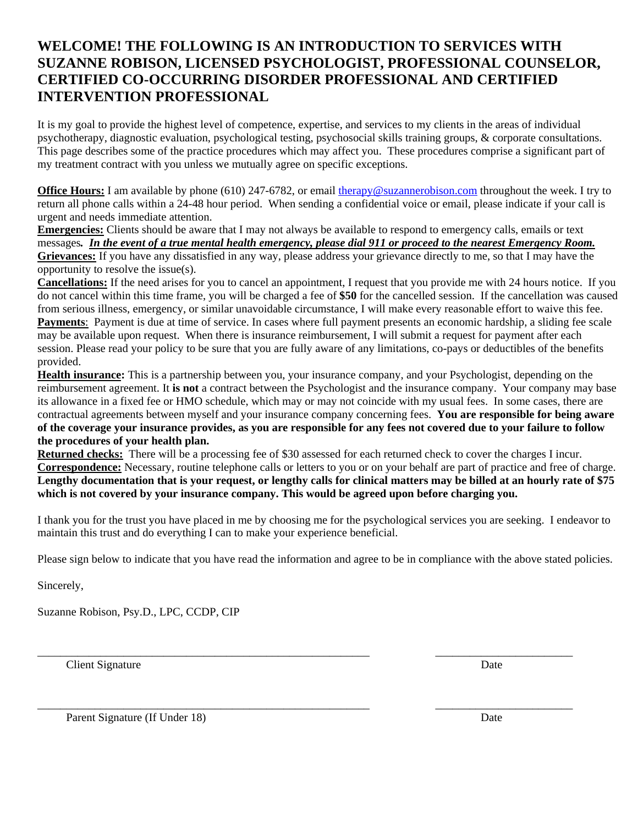### **WELCOME! THE FOLLOWING IS AN INTRODUCTION TO SERVICES WITH SUZANNE ROBISON, LICENSED PSYCHOLOGIST, PROFESSIONAL COUNSELOR, CERTIFIED CO-OCCURRING DISORDER PROFESSIONAL AND CERTIFIED INTERVENTION PROFESSIONAL**

It is my goal to provide the highest level of competence, expertise, and services to my clients in the areas of individual psychotherapy, diagnostic evaluation, psychological testing, psychosocial skills training groups, & corporate consultations. This page describes some of the practice procedures which may affect you. These procedures comprise a significant part of my treatment contract with you unless we mutually agree on specific exceptions.

**Office Hours:** I am available by phone (610) 247-6782, or email therapy@suzannerobison.com throughout the week. I try to return all phone calls within a 24-48 hour period. When sending a confidential voice or email, please indicate if your call is urgent and needs immediate attention.

**Emergencies:** Clients should be aware that I may not always be available to respond to emergency calls, emails or text messages*. In the event of a true mental health emergency, please dial 911 or proceed to the nearest Emergency Room.* **Grievances:** If you have any dissatisfied in any way, please address your grievance directly to me, so that I may have the opportunity to resolve the issue(s).

**Cancellations:** If the need arises for you to cancel an appointment, I request that you provide me with 24 hours notice. If you do not cancel within this time frame, you will be charged a fee of **\$50** for the cancelled session. If the cancellation was caused from serious illness, emergency, or similar unavoidable circumstance, I will make every reasonable effort to waive this fee. **Payments**: Payment is due at time of service. In cases where full payment presents an economic hardship, a sliding fee scale may be available upon request. When there is insurance reimbursement, I will submit a request for payment after each session. Please read your policy to be sure that you are fully aware of any limitations, co-pays or deductibles of the benefits provided.

**Health insurance:** This is a partnership between you, your insurance company, and your Psychologist, depending on the reimbursement agreement. It **is not** a contract between the Psychologist and the insurance company. Your company may base its allowance in a fixed fee or HMO schedule, which may or may not coincide with my usual fees. In some cases, there are contractual agreements between myself and your insurance company concerning fees. **You are responsible for being aware of the coverage your insurance provides, as you are responsible for any fees not covered due to your failure to follow the procedures of your health plan.** 

**Returned checks:** There will be a processing fee of \$30 assessed for each returned check to cover the charges I incur. **Correspondence:** Necessary, routine telephone calls or letters to you or on your behalf are part of practice and free of charge. **Lengthy documentation that is your request, or lengthy calls for clinical matters may be billed at an hourly rate of \$75 which is not covered by your insurance company. This would be agreed upon before charging you.** 

I thank you for the trust you have placed in me by choosing me for the psychological services you are seeking. I endeavor to maintain this trust and do everything I can to make your experience beneficial.

Please sign below to indicate that you have read the information and agree to be in compliance with the above stated policies.

\_\_\_\_\_\_\_\_\_\_\_\_\_\_\_\_\_\_\_\_\_\_\_\_\_\_\_\_\_\_\_\_\_\_\_\_\_\_\_\_\_\_\_\_\_\_\_\_\_\_\_\_\_\_\_\_\_\_ \_\_\_\_\_\_\_\_\_\_\_\_\_\_\_\_\_\_\_\_\_\_\_\_

\_\_\_\_\_\_\_\_\_\_\_\_\_\_\_\_\_\_\_\_\_\_\_\_\_\_\_\_\_\_\_\_\_\_\_\_\_\_\_\_\_\_\_\_\_\_\_\_\_\_\_\_\_\_\_\_\_\_ \_\_\_\_\_\_\_\_\_\_\_\_\_\_\_\_\_\_\_\_\_\_\_\_

Sincerely,

Suzanne Robison, Psy.D., LPC, CCDP, CIP

**Client Signature** Date

Parent Signature (If Under 18) Date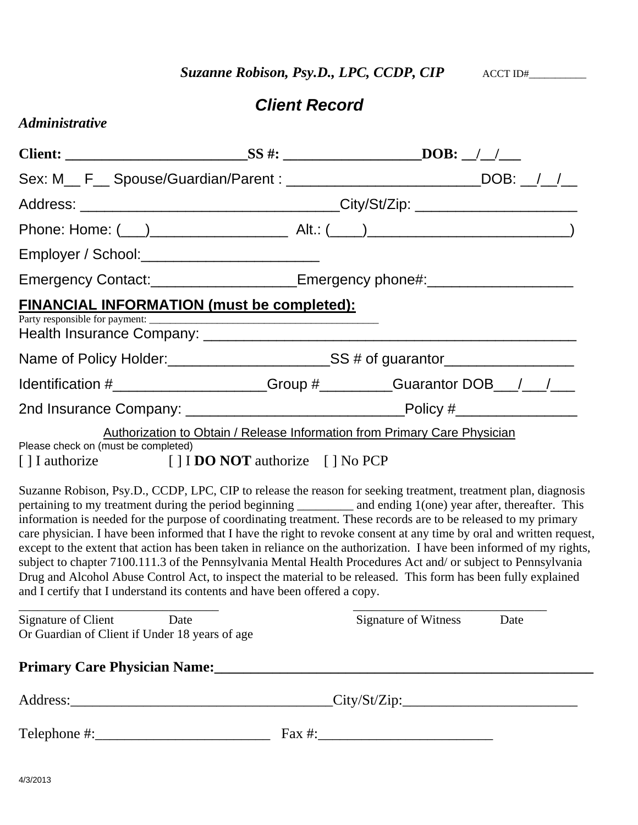**Suzanne Robison, Psy.D., LPC, CCDP, CIP** ACCT ID#

## *Client Record*

|  | <i><b>Administrative</b></i> |  |
|--|------------------------------|--|
|  |                              |  |

| Sex: M__ F__ Spouse/Guardian/Parent : ______________________________DOB: __/__/__                                                                                                                                                                                                                                                                                                                                                                                                                                                                                                                                                                                                                                                                                                                                                                                                                                        |  |                                     |      |  |  |  |
|--------------------------------------------------------------------------------------------------------------------------------------------------------------------------------------------------------------------------------------------------------------------------------------------------------------------------------------------------------------------------------------------------------------------------------------------------------------------------------------------------------------------------------------------------------------------------------------------------------------------------------------------------------------------------------------------------------------------------------------------------------------------------------------------------------------------------------------------------------------------------------------------------------------------------|--|-------------------------------------|------|--|--|--|
|                                                                                                                                                                                                                                                                                                                                                                                                                                                                                                                                                                                                                                                                                                                                                                                                                                                                                                                          |  |                                     |      |  |  |  |
|                                                                                                                                                                                                                                                                                                                                                                                                                                                                                                                                                                                                                                                                                                                                                                                                                                                                                                                          |  |                                     |      |  |  |  |
|                                                                                                                                                                                                                                                                                                                                                                                                                                                                                                                                                                                                                                                                                                                                                                                                                                                                                                                          |  |                                     |      |  |  |  |
| Emergency Contact:_____________________Emergency phone#:________________________                                                                                                                                                                                                                                                                                                                                                                                                                                                                                                                                                                                                                                                                                                                                                                                                                                         |  |                                     |      |  |  |  |
| <b>FINANCIAL INFORMATION (must be completed):</b>                                                                                                                                                                                                                                                                                                                                                                                                                                                                                                                                                                                                                                                                                                                                                                                                                                                                        |  |                                     |      |  |  |  |
| Name of Policy Holder:<br><u>SS # of guarantor</u>                                                                                                                                                                                                                                                                                                                                                                                                                                                                                                                                                                                                                                                                                                                                                                                                                                                                       |  |                                     |      |  |  |  |
| Identification #___________________Group #________Guarantor DOB__/__/___                                                                                                                                                                                                                                                                                                                                                                                                                                                                                                                                                                                                                                                                                                                                                                                                                                                 |  |                                     |      |  |  |  |
|                                                                                                                                                                                                                                                                                                                                                                                                                                                                                                                                                                                                                                                                                                                                                                                                                                                                                                                          |  |                                     |      |  |  |  |
| Authorization to Obtain / Release Information from Primary Care Physician<br>Please check on (must be completed)<br>[] I authorize [] I DO NOT authorize [] No PCP                                                                                                                                                                                                                                                                                                                                                                                                                                                                                                                                                                                                                                                                                                                                                       |  |                                     |      |  |  |  |
| Suzanne Robison, Psy.D., CCDP, LPC, CIP to release the reason for seeking treatment, treatment plan, diagnosis<br>pertaining to my treatment during the period beginning __________ and ending 1(one) year after, thereafter. This<br>information is needed for the purpose of coordinating treatment. These records are to be released to my primary<br>care physician. I have been informed that I have the right to revoke consent at any time by oral and written request,<br>except to the extent that action has been taken in reliance on the authorization. I have been informed of my rights,<br>subject to chapter 7100.111.3 of the Pennsylvania Mental Health Procedures Act and/ or subject to Pennsylvania<br>Drug and Alcohol Abuse Control Act, to inspect the material to be released. This form has been fully explained<br>and I certify that I understand its contents and have been offered a copy. |  |                                     |      |  |  |  |
| Signature of Client Date<br>Or Guardian of Client if Under 18 years of age                                                                                                                                                                                                                                                                                                                                                                                                                                                                                                                                                                                                                                                                                                                                                                                                                                               |  | <b>Signature of Witness</b>         | Date |  |  |  |
| Primary Care Physician Name: 1988. The Contract of the Care Physician Name: 1988. The Contract of the Contract of the Contract of the Contract of the Contract of the Contract of the Contract of the Contract of the Contract                                                                                                                                                                                                                                                                                                                                                                                                                                                                                                                                                                                                                                                                                           |  |                                     |      |  |  |  |
|                                                                                                                                                                                                                                                                                                                                                                                                                                                                                                                                                                                                                                                                                                                                                                                                                                                                                                                          |  | $\text{City}/\text{St}/\text{Zip:}$ |      |  |  |  |
|                                                                                                                                                                                                                                                                                                                                                                                                                                                                                                                                                                                                                                                                                                                                                                                                                                                                                                                          |  |                                     |      |  |  |  |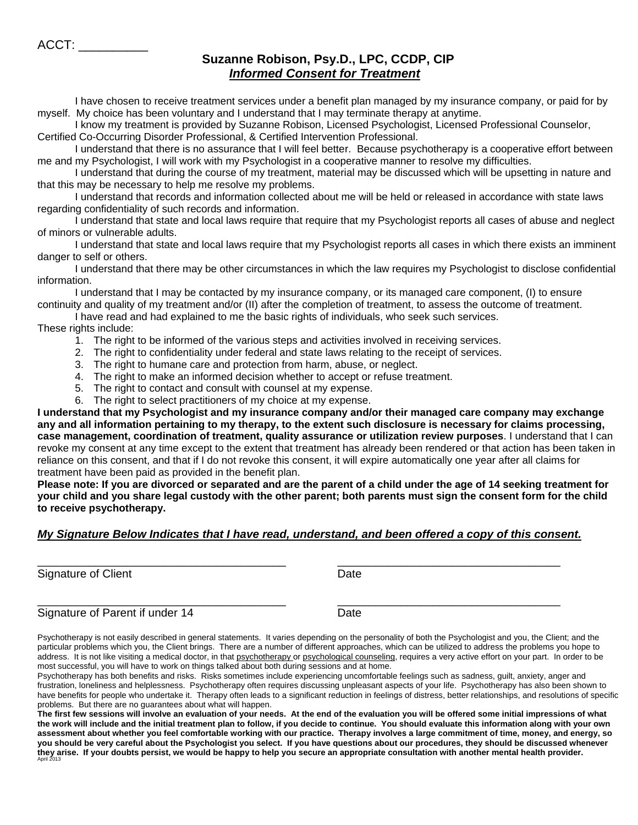ACCT: \_\_\_\_\_\_\_\_\_\_

#### **Suzanne Robison, Psy.D., LPC, CCDP, CIP**   *Informed Consent for Treatment*

I have chosen to receive treatment services under a benefit plan managed by my insurance company, or paid for by myself. My choice has been voluntary and I understand that I may terminate therapy at anytime.

I know my treatment is provided by Suzanne Robison, Licensed Psychologist, Licensed Professional Counselor, Certified Co-Occurring Disorder Professional, & Certified Intervention Professional.

 I understand that there is no assurance that I will feel better. Because psychotherapy is a cooperative effort between me and my Psychologist, I will work with my Psychologist in a cooperative manner to resolve my difficulties.

 I understand that during the course of my treatment, material may be discussed which will be upsetting in nature and that this may be necessary to help me resolve my problems.

 I understand that records and information collected about me will be held or released in accordance with state laws regarding confidentiality of such records and information.

 I understand that state and local laws require that require that my Psychologist reports all cases of abuse and neglect of minors or vulnerable adults.

 I understand that state and local laws require that my Psychologist reports all cases in which there exists an imminent danger to self or others.

 I understand that there may be other circumstances in which the law requires my Psychologist to disclose confidential information.

 I understand that I may be contacted by my insurance company, or its managed care component, (I) to ensure continuity and quality of my treatment and/or (II) after the completion of treatment, to assess the outcome of treatment.

 I have read and had explained to me the basic rights of individuals, who seek such services. These rights include:

- 1. The right to be informed of the various steps and activities involved in receiving services.
- 2. The right to confidentiality under federal and state laws relating to the receipt of services.
- 3. The right to humane care and protection from harm, abuse, or neglect.
- 4. The right to make an informed decision whether to accept or refuse treatment.
- 5. The right to contact and consult with counsel at my expense.
- 6. The right to select practitioners of my choice at my expense.

**I understand that my Psychologist and my insurance company and/or their managed care company may exchange any and all information pertaining to my therapy, to the extent such disclosure is necessary for claims processing, case management, coordination of treatment, quality assurance or utilization review purposes**. I understand that I can revoke my consent at any time except to the extent that treatment has already been rendered or that action has been taken in reliance on this consent, and that if I do not revoke this consent, it will expire automatically one year after all claims for treatment have been paid as provided in the benefit plan.

**Please note: If you are divorced or separated and are the parent of a child under the age of 14 seeking treatment for your child and you share legal custody with the other parent; both parents must sign the consent form for the child to receive psychotherapy.** 

#### *My Signature Below Indicates that I have read, understand, and been offered a copy of this consent.*

\_\_\_\_\_\_\_\_\_\_\_\_\_\_\_\_\_\_\_\_\_\_\_\_\_\_\_\_\_\_\_\_\_\_\_\_\_\_\_ \_\_\_\_\_\_\_\_\_\_\_\_\_\_\_\_\_\_\_\_\_\_\_\_\_\_\_\_\_\_\_\_\_\_\_

Signature of Client **Date** 

\_\_\_\_\_\_\_\_\_\_\_\_\_\_\_\_\_\_\_\_\_\_\_\_\_\_\_\_\_\_\_\_\_\_\_\_\_\_\_ \_\_\_\_\_\_\_\_\_\_\_\_\_\_\_\_\_\_\_\_\_\_\_\_\_\_\_\_\_\_\_\_\_\_\_ Signature of Parent if under 14 Date

Psychotherapy is not easily described in general statements. It varies depending on the personality of both the Psychologist and you, the Client; and the particular problems which you, the Client brings. There are a number of different approaches, which can be utilized to address the problems you hope to address. It is not like visiting a medical doctor, in that psychotherapy or psychological counseling, requires a very active effort on your part. In order to be most successful, you will have to work on things talked about both during sessions and at home.

Psychotherapy has both benefits and risks. Risks sometimes include experiencing uncomfortable feelings such as sadness, guilt, anxiety, anger and frustration, loneliness and helplessness. Psychotherapy often requires discussing unpleasant aspects of your life. Psychotherapy has also been shown to have benefits for people who undertake it. Therapy often leads to a significant reduction in feelings of distress, better relationships, and resolutions of specific problems. But there are no guarantees about what will happen.

**The first few sessions will involve an evaluation of your needs. At the end of the evaluation you will be offered some initial impressions of what the work will include and the initial treatment plan to follow, if you decide to continue. You should evaluate this information along with your own assessment about whether you feel comfortable working with our practice. Therapy involves a large commitment of time, money, and energy, so you should be very careful about the Psychologist you select. If you have questions about our procedures, they should be discussed whenever they arise. If your doubts persist, we would be happy to help you secure an appropriate consultation with another mental health provider.** April 2013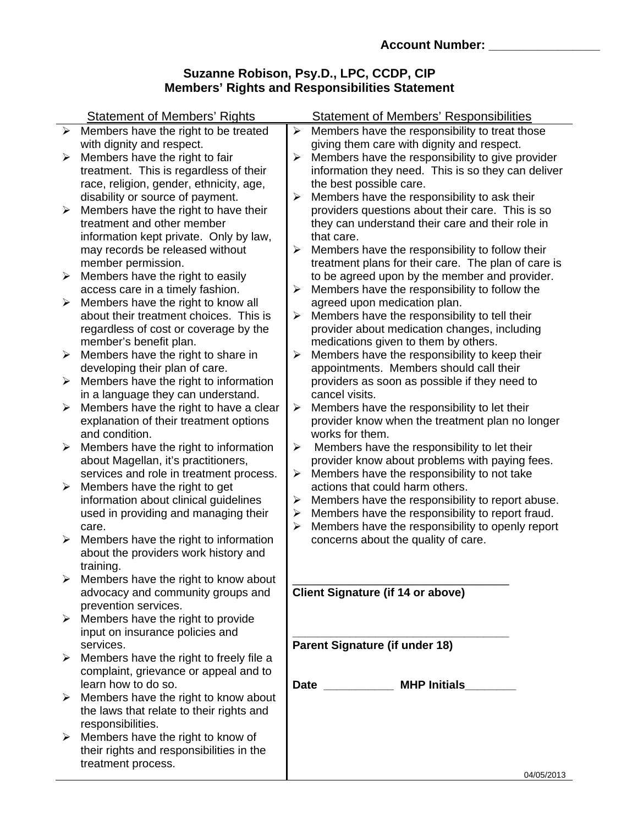#### **Suzanne Robison, Psy.D., LPC, CCDP, CIP Members' Rights and Responsibilities Statement**

|                       | <b>Statement of Members' Rights</b>                                    |                            | <b>Statement of Members' Responsibilities</b>                                  |  |  |  |
|-----------------------|------------------------------------------------------------------------|----------------------------|--------------------------------------------------------------------------------|--|--|--|
| $\blacktriangleright$ | Members have the right to be treated                                   | $\blacktriangleright$      | Members have the responsibility to treat those                                 |  |  |  |
|                       | with dignity and respect.                                              |                            | giving them care with dignity and respect.                                     |  |  |  |
| $\blacktriangleright$ | Members have the right to fair                                         | $\blacktriangleright$      | Members have the responsibility to give provider                               |  |  |  |
|                       | treatment. This is regardless of their                                 |                            | information they need. This is so they can deliver                             |  |  |  |
|                       | race, religion, gender, ethnicity, age,                                |                            | the best possible care.                                                        |  |  |  |
|                       | disability or source of payment.                                       | $\blacktriangleright$      | Members have the responsibility to ask their                                   |  |  |  |
| $\blacktriangleright$ | Members have the right to have their                                   |                            | providers questions about their care. This is so                               |  |  |  |
|                       | treatment and other member                                             |                            | they can understand their care and their role in                               |  |  |  |
|                       | information kept private. Only by law,                                 |                            | that care.                                                                     |  |  |  |
|                       | may records be released without                                        | ➤                          | Members have the responsibility to follow their                                |  |  |  |
|                       | member permission.                                                     |                            | treatment plans for their care. The plan of care is                            |  |  |  |
| ➤                     | Members have the right to easily                                       |                            | to be agreed upon by the member and provider.                                  |  |  |  |
|                       | access care in a timely fashion.                                       | $\blacktriangleright$      | Members have the responsibility to follow the                                  |  |  |  |
| ➤                     | Members have the right to know all                                     |                            | agreed upon medication plan.                                                   |  |  |  |
|                       | about their treatment choices. This is                                 | ➤                          | Members have the responsibility to tell their                                  |  |  |  |
|                       | regardless of cost or coverage by the                                  |                            | provider about medication changes, including                                   |  |  |  |
|                       | member's benefit plan.                                                 |                            | medications given to them by others.                                           |  |  |  |
| $\blacktriangleright$ | Members have the right to share in                                     | $\blacktriangleright$      | Members have the responsibility to keep their                                  |  |  |  |
|                       | developing their plan of care.                                         |                            | appointments. Members should call their                                        |  |  |  |
| $\blacktriangleright$ | Members have the right to information                                  |                            | providers as soon as possible if they need to                                  |  |  |  |
|                       | in a language they can understand.                                     |                            | cancel visits.                                                                 |  |  |  |
| ➤                     | Members have the right to have a clear                                 | $\blacktriangleright$      | Members have the responsibility to let their                                   |  |  |  |
|                       | explanation of their treatment options                                 |                            | provider know when the treatment plan no longer                                |  |  |  |
|                       | and condition.                                                         |                            | works for them.                                                                |  |  |  |
| ➤                     | Members have the right to information                                  | $\blacktriangleright$      | Members have the responsibility to let their                                   |  |  |  |
|                       | about Magellan, it's practitioners,                                    | $\blacktriangleright$      | provider know about problems with paying fees.                                 |  |  |  |
| $\blacktriangleright$ | services and role in treatment process.                                |                            | Members have the responsibility to not take<br>actions that could harm others. |  |  |  |
|                       | Members have the right to get<br>information about clinical guidelines |                            | Members have the responsibility to report abuse.                               |  |  |  |
|                       | used in providing and managing their                                   | $\blacktriangleright$<br>≻ | Members have the responsibility to report fraud.                               |  |  |  |
|                       | care.                                                                  | $\blacktriangleright$      | Members have the responsibility to openly report                               |  |  |  |
| $\blacktriangleright$ | Members have the right to information                                  |                            | concerns about the quality of care.                                            |  |  |  |
|                       | about the providers work history and                                   |                            |                                                                                |  |  |  |
|                       | training.                                                              |                            |                                                                                |  |  |  |
|                       | Members have the right to know about                                   |                            |                                                                                |  |  |  |
|                       | advocacy and community groups and                                      |                            | <b>Client Signature (if 14 or above)</b>                                       |  |  |  |
|                       | prevention services.                                                   |                            |                                                                                |  |  |  |
|                       | $\triangleright$ Members have the right to provide                     |                            |                                                                                |  |  |  |
|                       | input on insurance policies and                                        |                            |                                                                                |  |  |  |
|                       | services.                                                              |                            | Parent Signature (if under 18)                                                 |  |  |  |
| ➤                     | Members have the right to freely file a                                |                            |                                                                                |  |  |  |
|                       | complaint, grievance or appeal and to                                  |                            |                                                                                |  |  |  |
|                       | learn how to do so.                                                    |                            | Date ______________ MHP Initials                                               |  |  |  |
| ➤                     | Members have the right to know about                                   |                            |                                                                                |  |  |  |
|                       | the laws that relate to their rights and                               |                            |                                                                                |  |  |  |
|                       | responsibilities.                                                      |                            |                                                                                |  |  |  |
| $\blacktriangleright$ | Members have the right to know of                                      |                            |                                                                                |  |  |  |
|                       | their rights and responsibilities in the                               |                            |                                                                                |  |  |  |
|                       | treatment process.                                                     |                            | 0.4/05/2013                                                                    |  |  |  |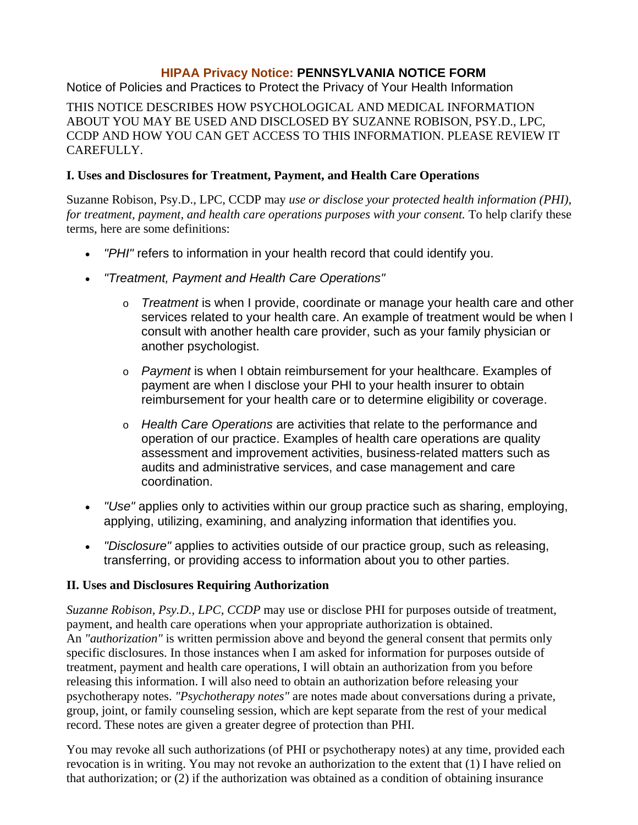#### **HIPAA Privacy Notice: PENNSYLVANIA NOTICE FORM**

Notice of Policies and Practices to Protect the Privacy of Your Health Information

THIS NOTICE DESCRIBES HOW PSYCHOLOGICAL AND MEDICAL INFORMATION ABOUT YOU MAY BE USED AND DISCLOSED BY SUZANNE ROBISON, PSY.D., LPC, CCDP AND HOW YOU CAN GET ACCESS TO THIS INFORMATION. PLEASE REVIEW IT CAREFULLY.

#### **I. Uses and Disclosures for Treatment, Payment, and Health Care Operations**

Suzanne Robison, Psy.D., LPC, CCDP may *use or disclose your protected health information (PHI), for treatment, payment, and health care operations purposes with your consent.* To help clarify these terms, here are some definitions:

- *"PHI"* refers to information in your health record that could identify you.
- *"Treatment, Payment and Health Care Operations"*
	- o *Treatment* is when I provide, coordinate or manage your health care and other services related to your health care. An example of treatment would be when I consult with another health care provider, such as your family physician or another psychologist.
	- o *Payment* is when I obtain reimbursement for your healthcare. Examples of payment are when I disclose your PHI to your health insurer to obtain reimbursement for your health care or to determine eligibility or coverage.
	- o *Health Care Operations* are activities that relate to the performance and operation of our practice. Examples of health care operations are quality assessment and improvement activities, business-related matters such as audits and administrative services, and case management and care coordination.
- *"Use"* applies only to activities within our group practice such as sharing, employing, applying, utilizing, examining, and analyzing information that identifies you.
- *"Disclosure"* applies to activities outside of our practice group, such as releasing, transferring, or providing access to information about you to other parties.

#### **II. Uses and Disclosures Requiring Authorization**

*Suzanne Robison, Psy.D., LPC, CCDP* may use or disclose PHI for purposes outside of treatment, payment, and health care operations when your appropriate authorization is obtained. An *"authorization"* is written permission above and beyond the general consent that permits only specific disclosures. In those instances when I am asked for information for purposes outside of treatment, payment and health care operations, I will obtain an authorization from you before releasing this information. I will also need to obtain an authorization before releasing your psychotherapy notes. *"Psychotherapy notes"* are notes made about conversations during a private, group, joint, or family counseling session, which are kept separate from the rest of your medical record. These notes are given a greater degree of protection than PHI.

You may revoke all such authorizations (of PHI or psychotherapy notes) at any time, provided each revocation is in writing. You may not revoke an authorization to the extent that (1) I have relied on that authorization; or (2) if the authorization was obtained as a condition of obtaining insurance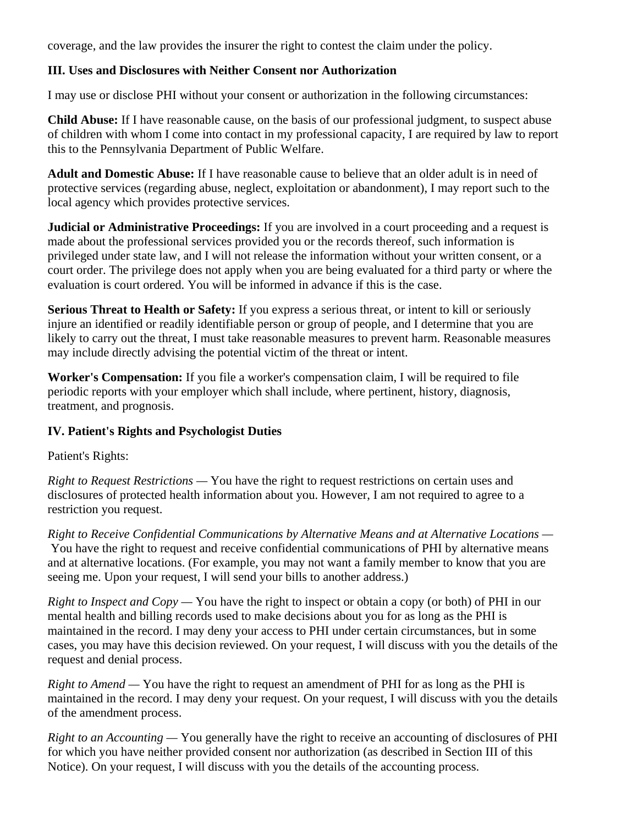coverage, and the law provides the insurer the right to contest the claim under the policy.

#### **III. Uses and Disclosures with Neither Consent nor Authorization**

I may use or disclose PHI without your consent or authorization in the following circumstances:

**Child Abuse:** If I have reasonable cause, on the basis of our professional judgment, to suspect abuse of children with whom I come into contact in my professional capacity, I are required by law to report this to the Pennsylvania Department of Public Welfare.

**Adult and Domestic Abuse:** If I have reasonable cause to believe that an older adult is in need of protective services (regarding abuse, neglect, exploitation or abandonment), I may report such to the local agency which provides protective services.

**Judicial or Administrative Proceedings:** If you are involved in a court proceeding and a request is made about the professional services provided you or the records thereof, such information is privileged under state law, and I will not release the information without your written consent, or a court order. The privilege does not apply when you are being evaluated for a third party or where the evaluation is court ordered. You will be informed in advance if this is the case.

**Serious Threat to Health or Safety:** If you express a serious threat, or intent to kill or seriously injure an identified or readily identifiable person or group of people, and I determine that you are likely to carry out the threat, I must take reasonable measures to prevent harm. Reasonable measures may include directly advising the potential victim of the threat or intent.

**Worker's Compensation:** If you file a worker's compensation claim, I will be required to file periodic reports with your employer which shall include, where pertinent, history, diagnosis, treatment, and prognosis.

#### **IV. Patient's Rights and Psychologist Duties**

Patient's Rights:

*Right to Request Restrictions —* You have the right to request restrictions on certain uses and disclosures of protected health information about you. However, I am not required to agree to a restriction you request.

*Right to Receive Confidential Communications by Alternative Means and at Alternative Locations —* You have the right to request and receive confidential communications of PHI by alternative means and at alternative locations. (For example, you may not want a family member to know that you are seeing me. Upon your request, I will send your bills to another address.)

*Right to Inspect and Copy —* You have the right to inspect or obtain a copy (or both) of PHI in our mental health and billing records used to make decisions about you for as long as the PHI is maintained in the record. I may deny your access to PHI under certain circumstances, but in some cases, you may have this decision reviewed. On your request, I will discuss with you the details of the request and denial process.

*Right to Amend —* You have the right to request an amendment of PHI for as long as the PHI is maintained in the record. I may deny your request. On your request, I will discuss with you the details of the amendment process.

*Right to an Accounting —* You generally have the right to receive an accounting of disclosures of PHI for which you have neither provided consent nor authorization (as described in Section III of this Notice). On your request, I will discuss with you the details of the accounting process.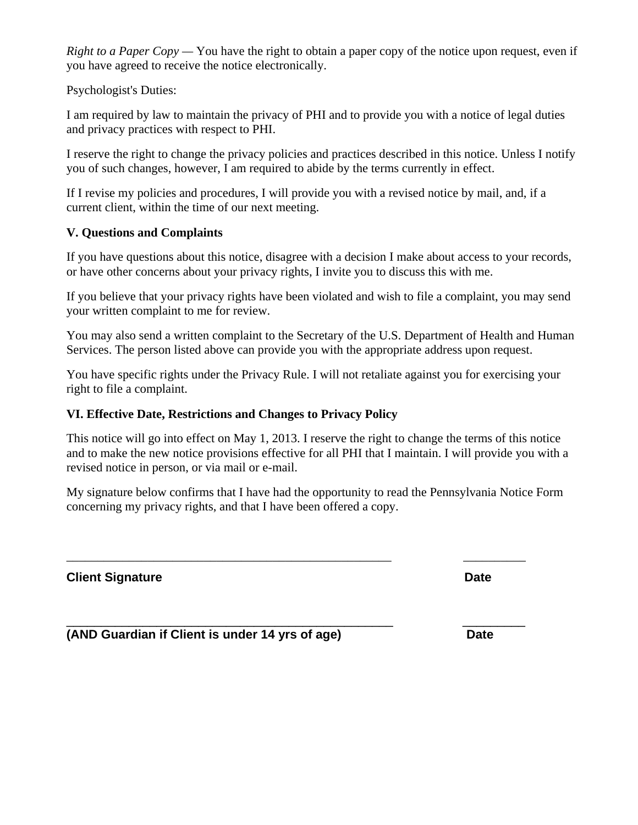*Right to a Paper Copy —* You have the right to obtain a paper copy of the notice upon request, even if you have agreed to receive the notice electronically.

Psychologist's Duties:

I am required by law to maintain the privacy of PHI and to provide you with a notice of legal duties and privacy practices with respect to PHI.

I reserve the right to change the privacy policies and practices described in this notice. Unless I notify you of such changes, however, I am required to abide by the terms currently in effect.

If I revise my policies and procedures, I will provide you with a revised notice by mail, and, if a current client, within the time of our next meeting.

#### **V. Questions and Complaints**

If you have questions about this notice, disagree with a decision I make about access to your records, or have other concerns about your privacy rights, I invite you to discuss this with me.

If you believe that your privacy rights have been violated and wish to file a complaint, you may send your written complaint to me for review.

You may also send a written complaint to the Secretary of the U.S. Department of Health and Human Services. The person listed above can provide you with the appropriate address upon request.

You have specific rights under the Privacy Rule. I will not retaliate against you for exercising your right to file a complaint.

#### **VI. Effective Date, Restrictions and Changes to Privacy Policy**

This notice will go into effect on May 1, 2013. I reserve the right to change the terms of this notice and to make the new notice provisions effective for all PHI that I maintain. I will provide you with a revised notice in person, or via mail or e-mail.

My signature below confirms that I have had the opportunity to read the Pennsylvania Notice Form concerning my privacy rights, and that I have been offered a copy.

\_\_\_\_\_\_\_\_\_\_\_\_\_\_\_\_\_\_\_\_\_\_\_\_\_\_\_\_\_\_\_\_\_\_\_\_\_\_\_\_\_\_\_\_\_\_\_\_\_\_\_\_ \_\_\_\_\_\_\_\_\_\_

\_\_\_\_\_\_\_\_\_\_\_\_\_\_\_\_\_\_\_\_\_\_\_\_\_\_\_\_\_\_\_\_\_\_\_\_\_\_\_\_\_\_\_\_\_\_\_ \_\_\_\_\_\_\_\_\_

**Client Signature Date Client Signature Date** 

**(AND Guardian if Client is under 14 yrs of age) Date**